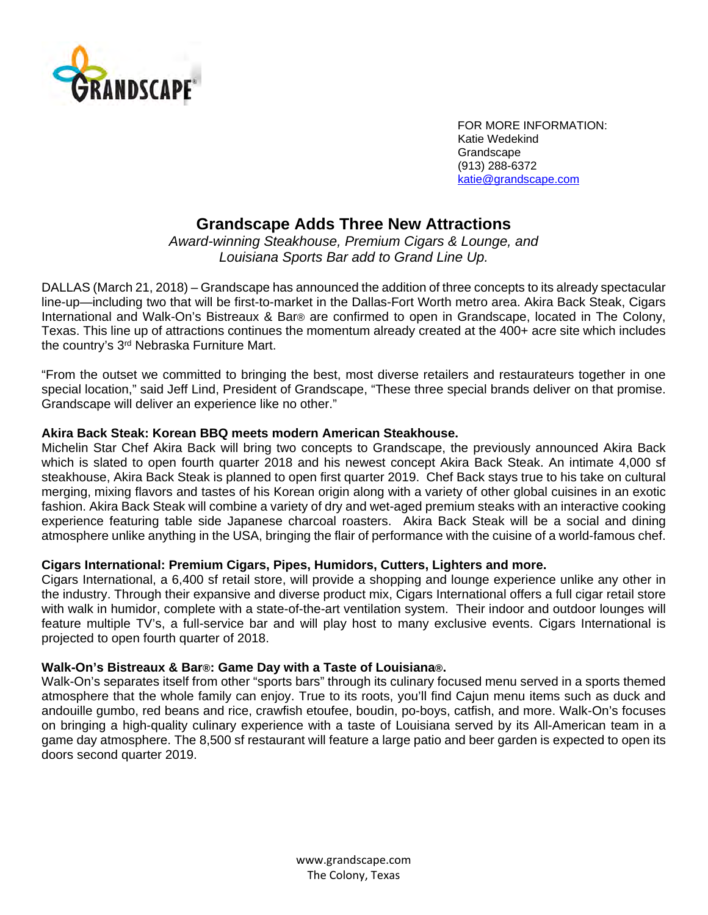

FOR MORE INFORMATION: Katie Wedekind **Grandscape**  (913) 288-6372 [katie@grandscape.com](mailto:katie@grandscape.com) 

# **Grandscape Adds Three New Attractions**

*Award-winning Steakhouse, Premium Cigars & Lounge, and Louisiana Sports Bar add to Grand Line Up.*

DALLAS (March 21, 2018) – Grandscape has announced the addition of three concepts to its already spectacular line-up—including two that will be first-to-market in the Dallas-Fort Worth metro area. Akira Back Steak, Cigars International and Walk-On's Bistreaux & Bar® are confirmed to open in Grandscape, located in The Colony, Texas. This line up of attractions continues the momentum already created at the 400+ acre site which includes the country's 3rd Nebraska Furniture Mart.

"From the outset we committed to bringing the best, most diverse retailers and restaurateurs together in one special location," said Jeff Lind, President of Grandscape, "These three special brands deliver on that promise. Grandscape will deliver an experience like no other."

## **Akira Back Steak: Korean BBQ meets modern American Steakhouse.**

Michelin Star Chef Akira Back will bring two concepts to Grandscape, the previously announced Akira Back which is slated to open fourth quarter 2018 and his newest concept Akira Back Steak. An intimate 4,000 sf steakhouse, Akira Back Steak is planned to open first quarter 2019. Chef Back stays true to his take on cultural merging, mixing flavors and tastes of his Korean origin along with a variety of other global cuisines in an exotic fashion. Akira Back Steak will combine a variety of dry and wet-aged premium steaks with an interactive cooking experience featuring table side Japanese charcoal roasters. Akira Back Steak will be a social and dining atmosphere unlike anything in the USA, bringing the flair of performance with the cuisine of a world-famous chef.

### **Cigars International: Premium Cigars, Pipes, Humidors, Cutters, Lighters and more.**

Cigars International, a 6,400 sf retail store, will provide a shopping and lounge experience unlike any other in the industry. Through their expansive and diverse product mix, Cigars International offers a full cigar retail store with walk in humidor, complete with a state-of-the-art ventilation system. Their indoor and outdoor lounges will feature multiple TV's, a full-service bar and will play host to many exclusive events. Cigars International is projected to open fourth quarter of 2018.

### **Walk-On's Bistreaux & Bar®: Game Day with a Taste of Louisiana®.**

Walk-On's separates itself from other "sports bars" through its culinary focused menu served in a sports themed atmosphere that the whole family can enjoy. True to its roots, you'll find Cajun menu items such as duck and andouille gumbo, red beans and rice, crawfish etoufee, boudin, po-boys, catfish, and more. Walk-On's focuses on bringing a high-quality culinary experience with a taste of Louisiana served by its All-American team in a game day atmosphere. The 8,500 sf restaurant will feature a large patio and beer garden is expected to open its doors second quarter 2019.